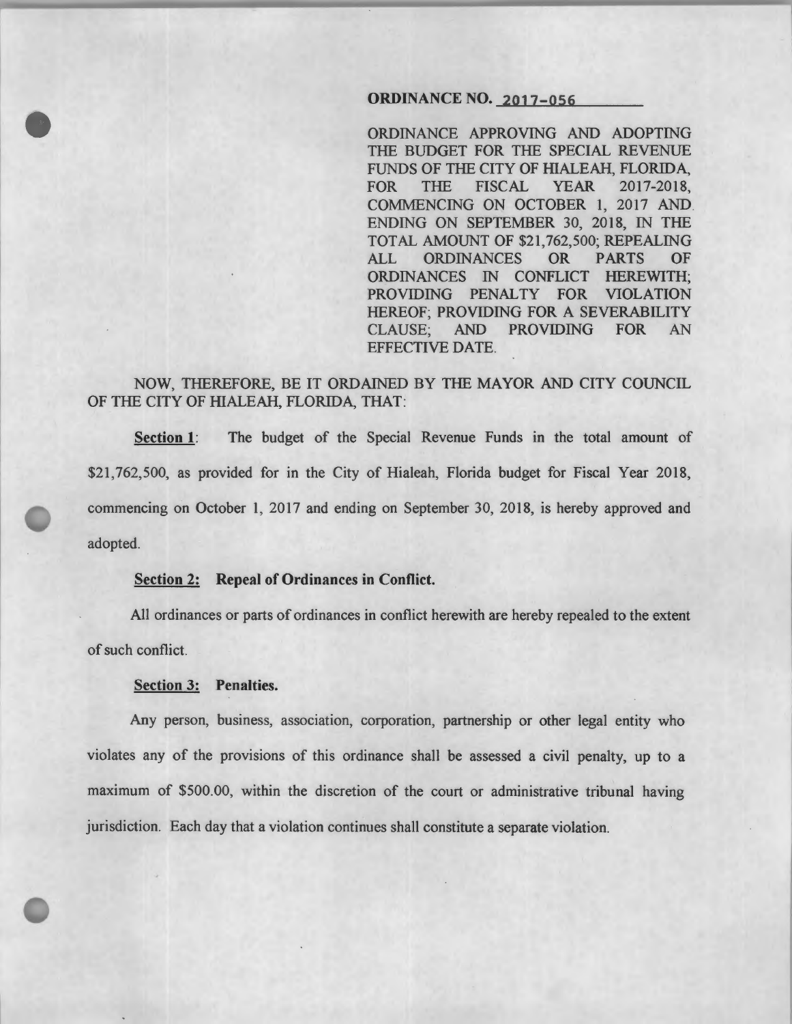### ORDINANCE NO. 2017-056

ORDINANCE APPROVING AND ADOPTING THE BUDGET FOR THE SPECIAL REVENUE FUNDS OF THE CITY OF HIALEAH, FLORIDA, FOR THE FISCAL YEAR 2017-2018, COMMENCING ON OCTOBER 1, 2017 AND ENDING ON SEPTEMBER 30, 2018, IN THE TOTAL AMOUNT OF \$21,762,500; REPEALING ALL ORDINANCES OR PARTS OF ORDINANCES IN CONFLICT HEREWITH; PROVIDING PENALTY FOR VIOLATION HEREOF; PROVIDING FOR A SEVERABILITY CLAUSE; AND PROVIDING FOR AN EFFECTIVE DATE.

# NOW, THEREFORE, BE IT ORDAINED BY THE MAYOR AND CITY COUNCIL OF THE CITY OF HIALEAH, FLORIDA, THAT:

Section 1: The budget of the Special Revenue Funds in the total amount of \$21,762,500, as provided for in the City of Hialeah, Florida budget for Fiscal Year 2018, commencing on October 1, 2017 and ending on September 30, 2018, is hereby approved and adopted.

#### Section 2: Repeal of Ordinances in Conflict.

All ordinances or parts of ordinances in conflict herewith are hereby repealed to the extent of such conflict.

## Section 3: Penalties.

Any person, business, association, corporation, partnership or other legal entity who violates any of the provisions of this ordinance shall be assessed a civil penalty, up to a maximum of \$500.00, within the discretion of the court or administrative tribunal having jurisdiction. Each day that a violation continues shall constitute a separate violation.